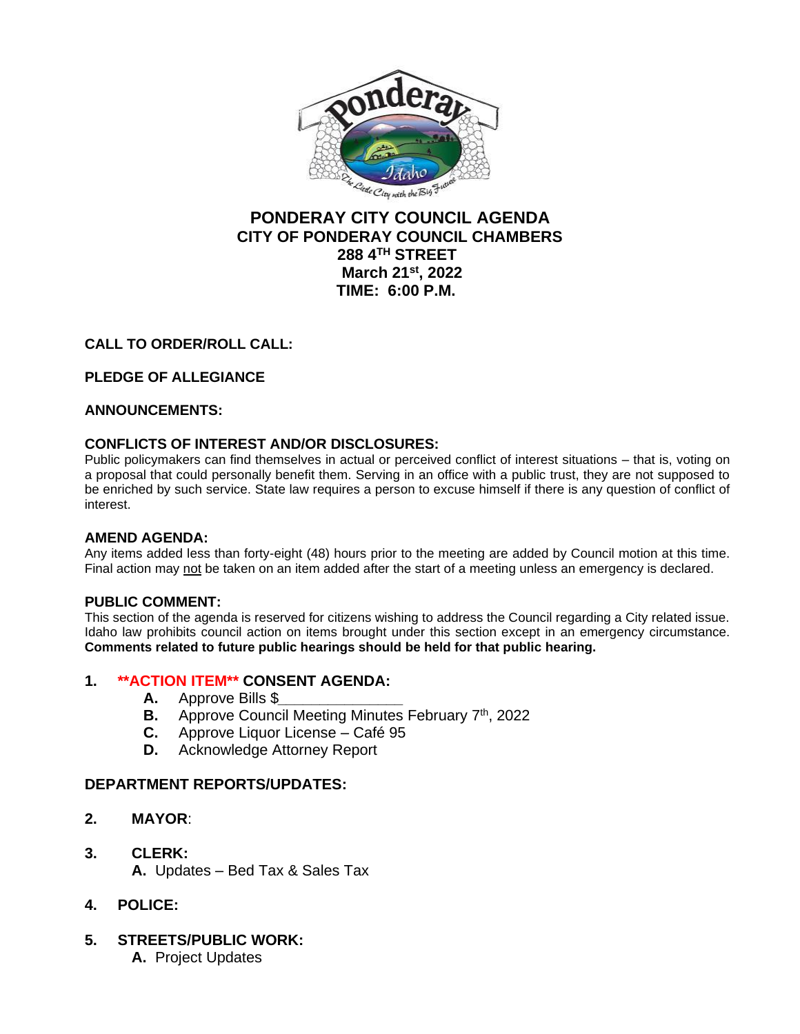

# **PONDERAY CITY COUNCIL AGENDA CITY OF PONDERAY COUNCIL CHAMBERS 288 4TH STREET March 21st, 2022 TIME: 6:00 P.M.**

## **CALL TO ORDER/ROLL CALL:**

## **PLEDGE OF ALLEGIANCE**

### **ANNOUNCEMENTS:**

### **CONFLICTS OF INTEREST AND/OR DISCLOSURES:**

Public policymakers can find themselves in actual or perceived conflict of interest situations – that is, voting on a proposal that could personally benefit them. Serving in an office with a public trust, they are not supposed to be enriched by such service. State law requires a person to excuse himself if there is any question of conflict of interest.

### **AMEND AGENDA:**

Any items added less than forty-eight (48) hours prior to the meeting are added by Council motion at this time. Final action may not be taken on an item added after the start of a meeting unless an emergency is declared.

### **PUBLIC COMMENT:**

This section of the agenda is reserved for citizens wishing to address the Council regarding a City related issue. Idaho law prohibits council action on items brought under this section except in an emergency circumstance. **Comments related to future public hearings should be held for that public hearing.**

### **1. \*\*ACTION ITEM\*\* CONSENT AGENDA:**

- **A.** Approve Bills \$*\_\_\_\_\_\_\_\_\_\_\_\_\_\_\_*
- **B.** Approve Council Meeting Minutes February 7<sup>th</sup>, 2022
- **C.** Approve Liquor License Café 95
- **D.** Acknowledge Attorney Report

### **DEPARTMENT REPORTS/UPDATES:**

- **2. MAYOR**:
- **3. CLERK: A.** Updates – Bed Tax & Sales Tax
- **4. POLICE:**
- **5. STREETS/PUBLIC WORK:**
	- **A.** Project Updates